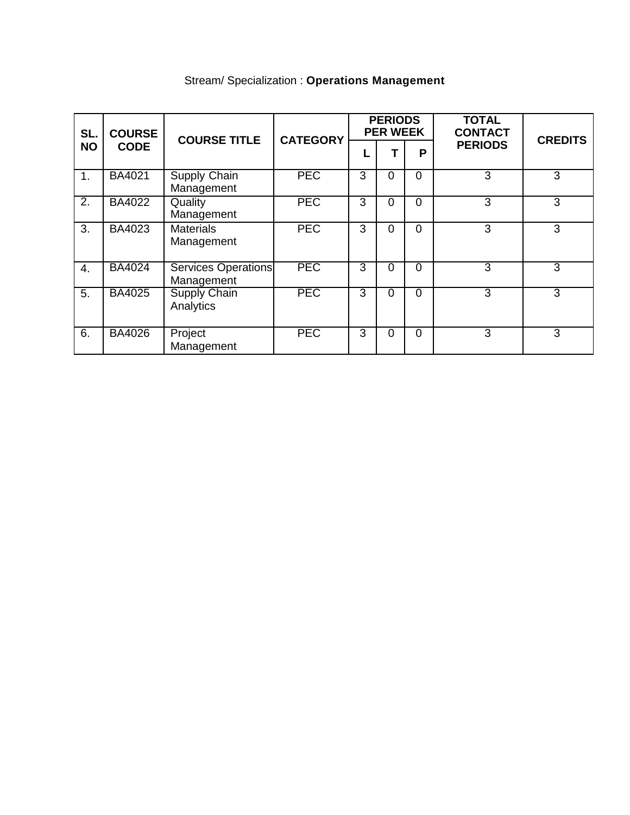| SL.<br><b>NO</b> | <b>COURSE</b><br><b>CODE</b> | <b>COURSE TITLE</b>                      | <b>CATEGORY</b> | <b>PERIODS</b><br><b>PER WEEK</b> |          |          | <b>TOTAL</b><br><b>CONTACT</b> | <b>CREDITS</b> |
|------------------|------------------------------|------------------------------------------|-----------------|-----------------------------------|----------|----------|--------------------------------|----------------|
|                  |                              |                                          |                 |                                   |          | P        | <b>PERIODS</b>                 |                |
| 1.               | <b>BA4021</b>                | <b>Supply Chain</b><br>Management        | <b>PEC</b>      | 3                                 | $\Omega$ | 0        | 3                              | 3              |
| 2.               | BA4022                       | Quality<br>Management                    | <b>PEC</b>      | 3                                 | 0        | $\Omega$ | 3                              | 3              |
| 3.               | BA4023                       | <b>Materials</b><br>Management           | <b>PEC</b>      | 3                                 | 0        | $\Omega$ | 3                              | 3              |
| 4.               | <b>BA4024</b>                | <b>Services Operations</b><br>Management | <b>PEC</b>      | 3                                 | $\Omega$ | $\Omega$ | 3                              | 3              |
| 5.               | <b>BA4025</b>                | <b>Supply Chain</b><br>Analytics         | <b>PEC</b>      | 3                                 | 0        | $\Omega$ | 3                              | 3              |
| 6.               | <b>BA4026</b>                | Project<br>Management                    | <b>PEC</b>      | 3                                 | $\Omega$ | $\Omega$ | 3                              | 3              |

# Stream/ Specialization : **Operations Management**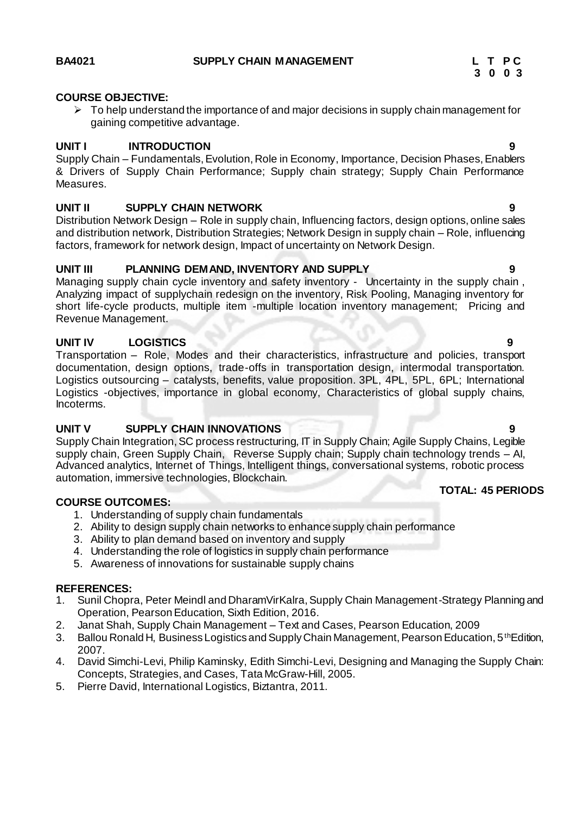#### **COURSE OBJECTIVE:**

 $\triangleright$  To help understand the importance of and major decisions in supply chain management for gaining competitive advantage.

#### **UNIT I INTRODUCTION 9**

Supply Chain – Fundamentals, Evolution, Role in Economy, Importance, Decision Phases, Enablers & Drivers of Supply Chain Performance; Supply chain strategy; Supply Chain Performance Measures.

#### **UNIT II SUPPLY CHAIN NETWORK 9**

Distribution Network Design – Role in supply chain, Influencing factors, design options, online sales and distribution network, Distribution Strategies; Network Design in supply chain – Role, influencing factors, framework for network design, Impact of uncertainty on Network Design.

#### **UNIT III PLANNING DEMAND, INVENTORY AND SUPPLY 9**

Managing supply chain cycle inventory and safety inventory - Uncertainty in the supply chain, Analyzing impact of supplychain redesign on the inventory, Risk Pooling, Managing inventory for short life-cycle products, multiple item -multiple location inventory management; Pricing and Revenue Management.

#### **UNIT IV LOGISTICS 9**

Transportation – Role, Modes and their characteristics, infrastructure and policies, transport documentation, design options, trade-offs in transportation design, intermodal transportation. Logistics outsourcing – catalysts, benefits, value proposition. 3PL, 4PL, 5PL, 6PL; International Logistics -objectives, importance in global economy, Characteristics of global supply chains, Incoterms.

### **UNIT V SUPPLY CHAIN INNOVATIONS 9**

Supply Chain Integration, SC process restructuring, IT in Supply Chain; Agile Supply Chains, Legible supply chain, Green Supply Chain, Reverse Supply chain; Supply chain technology trends – AI, Advanced analytics, Internet of Things, Intelligent things, conversational systems, robotic process automation, immersive technologies, Blockchain.

#### **COURSE OUTCOMES:**

- 1. Understanding of supply chain fundamentals
- 2. Ability to design supply chain networks to enhance supply chain performance
- 3. Ability to plan demand based on inventory and supply
- 4. Understanding the role of logistics in supply chain performance
- 5. Awareness of innovations for sustainable supply chains

#### **REFERENCES:**

- 1. Sunil Chopra, Peter Meindl and DharamVirKalra, Supply Chain Management-Strategy Planning and Operation, Pearson Education, Sixth Edition, 2016.
- 2. Janat Shah, Supply Chain Management Text and Cases, Pearson Education, 2009
- 3. Ballou Ronald H, Business Logistics and Supply Chain Management, Pearson Education, 5<sup>th</sup>Edition, 2007.
- 4. David Simchi-Levi, Philip Kaminsky, Edith Simchi-Levi, Designing and Managing the Supply Chain: Concepts, Strategies, and Cases, Tata McGraw-Hill, 2005.
- 5. Pierre David, International Logistics, Biztantra, 2011.

### **TOTAL: 45 PERIODS**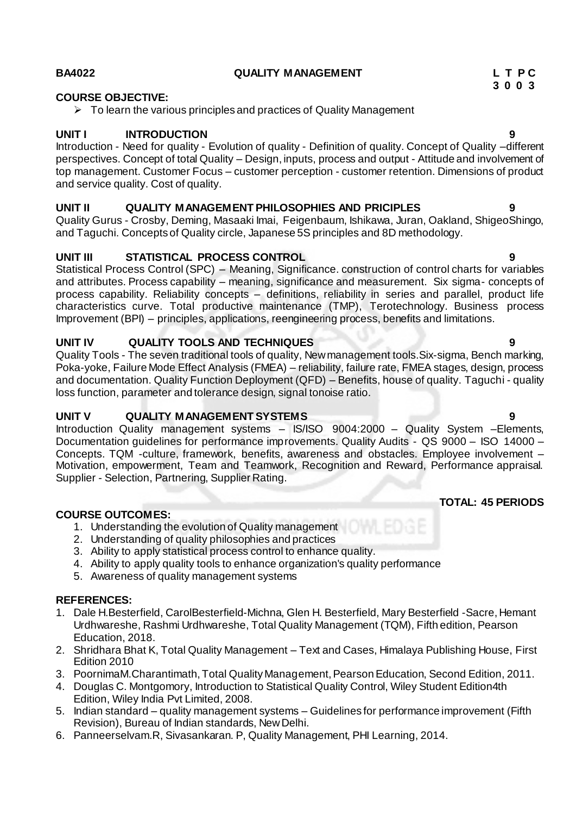# **COURSE OBJECTIVE:**

 $\triangleright$  To learn the various principles and practices of Quality Management

# **UNIT I INTRODUCTION 9**

Introduction - Need for quality - Evolution of quality - Definition of quality. Concept of Quality –different perspectives. Concept of total Quality – Design, inputs, process and output - Attitude and involvement of top management. Customer Focus – customer perception - customer retention. Dimensions of product and service quality. Cost of quality.

# **UNIT II QUALITY MANAGEMENT PHILOSOPHIES AND PRICIPLES 9**

Quality Gurus - Crosby, Deming, Masaaki Imai, Feigenbaum, Ishikawa, Juran, Oakland, ShigeoShingo, and Taguchi. Concepts of Quality circle, Japanese 5S principles and 8D methodology.

# **UNIT III STATISTICAL PROCESS CONTROL 9**

Statistical Process Control (SPC) – Meaning, Significance. construction of control charts for variables and attributes. Process capability – meaning, significance and measurement. Six sigma- concepts of process capability. Reliability concepts – definitions, reliability in series and parallel, product life characteristics curve. Total productive maintenance (TMP), Terotechnology. Business process Improvement (BPI) – principles, applications, reengineering process, benefits and limitations.

# **UNIT IV QUALITY TOOLS AND TECHNIQUES 9**

Quality Tools - The seven traditional tools of quality, New management tools.Six-sigma, Bench marking, Poka-yoke, Failure Mode Effect Analysis (FMEA) – reliability, failure rate, FMEA stages, design, process and documentation. Quality Function Deployment (QFD) – Benefits, house of quality. Taguchi - quality loss function, parameter and tolerance design, signal tonoise ratio.

# **UNIT V QUALITY MANAGEMENT SYSTEMS 9**

Introduction Quality management systems – IS/ISO 9004:2000 – Quality System –Elements, Documentation guidelines for performance improvements. Quality Audits - QS 9000 – ISO 14000 – Concepts. TQM -culture, framework, benefits, awareness and obstacles. Employee involvement – Motivation, empowerment, Team and Teamwork, Recognition and Reward, Performance appraisal. Supplier - Selection, Partnering, Supplier Rating.

# **COURSE OUTCOMES:**

- 1. Understanding the evolution of Quality management
- 2. Understanding of quality philosophies and practices
- 3. Ability to apply statistical process control to enhance quality.
- 4. Ability to apply quality tools to enhance organization's quality performance
- 5. Awareness of quality management systems

# **REFERENCES:**

- 1. Dale H.Besterfield, CarolBesterfield-Michna, Glen H. Besterfield, Mary Besterfield -Sacre, Hemant Urdhwareshe, Rashmi Urdhwareshe, Total Quality Management (TQM), Fifth edition, Pearson Education, 2018.
- 2. Shridhara Bhat K, Total Quality Management Text and Cases, Himalaya Publishing House, First Edition 2010
- 3. PoornimaM.Charantimath, Total Quality Management, Pearson Education, Second Edition, 2011.
- 4. Douglas C. Montgomory, Introduction to Statistical Quality Control, Wiley Student Edition4th Edition, Wiley India Pvt Limited, 2008.
- 5. Indian standard quality management systems Guidelines for performance improvement (Fifth Revision), Bureau of Indian standards, New Delhi.
- 6. Panneerselvam.R, Sivasankaran. P, Quality Management, PHI Learning, 2014.

 **3 0 0 3**

# **TOTAL: 45 PERIODS**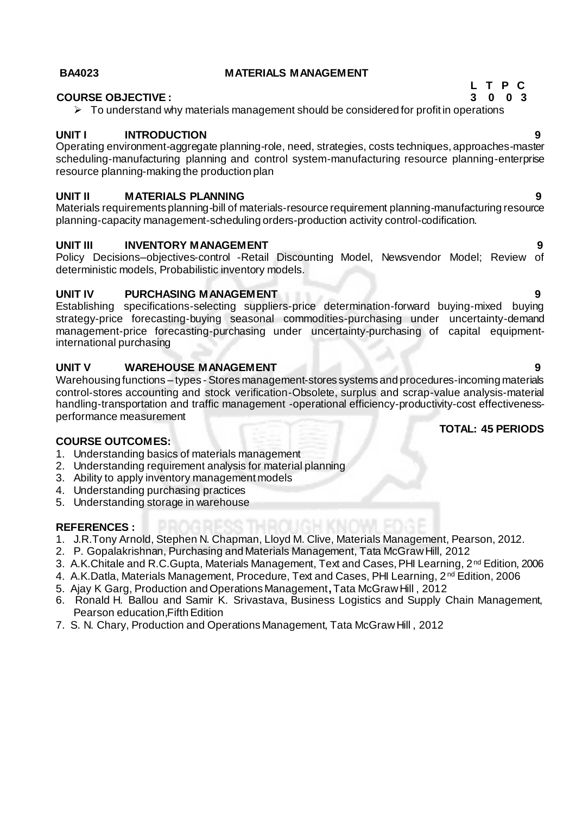#### **BA4023 MATERIALS MANAGEMENT**

#### **COURSE OBJECTIVE : 3 0 0 3**

 $\triangleright$  To understand why materials management should be considered for profit in operations

#### **UNIT I INTRODUCTION 9**

Operating environment-aggregate planning-role, need, strategies, costs techniques, approaches-master scheduling-manufacturing planning and control system-manufacturing resource planning-enterprise resource planning-making the production plan

#### **UNIT II MATERIALS PLANNING 9**

Materials requirements planning-bill of materials-resource requirement planning-manufacturing resource planning-capacity management-scheduling orders-production activity control-codification.

#### **UNIT III INVENTORY MANAGEMENT 9**

Policy Decisions–objectives-control -Retail Discounting Model, Newsvendor Model; Review of deterministic models, Probabilistic inventory models.

#### **UNIT IV PURCHASING MANAGEMENT 9**

Establishing specifications-selecting suppliers-price determination-forward buying-mixed buying strategy-price forecasting-buying seasonal commodities-purchasing under uncertainty-demand management-price forecasting-purchasing under uncertainty-purchasing of capital equipmentinternational purchasing

#### **UNIT V WAREHOUSE MANAGEMENT 9**

Warehousing functions – types - Stores management-stores systems and procedures-incoming materials control-stores accounting and stock verification-Obsolete, surplus and scrap-value analysis-material handling-transportation and traffic management -operational efficiency-productivity-cost effectivenessperformance measurement

### **TOTAL: 45 PERIODS**

### **COURSE OUTCOMES:**

- 1. Understanding basics of materials management
- 2. Understanding requirement analysis for material planning
- 3. Ability to apply inventory management models
- 4. Understanding purchasing practices
- 5. Understanding storage in warehouse

#### **REFERENCES :**

- 1. J.R.Tony Arnold, Stephen N. Chapman, Lloyd M. Clive, Materials Management, Pearson, 2012.
- 2. P. Gopalakrishnan, Purchasing and Materials Management, Tata McGraw Hill, 2012
- 3. A.K.Chitale and R.C.Gupta, Materials Management, Text and Cases, PHI Learning, 2nd Edition, 2006
- 4. A.K.Datla, Materials Management, Procedure, Text and Cases, PHI Learning, 2nd Edition, 2006
- 5. Ajay K Garg, Production and Operations Management**,**Tata McGraw Hill , 2012
- 6. Ronald H. Ballou and Samir K. Srivastava, Business Logistics and Supply Chain Management, Pearson education,Fifth Edition
- 7. S. N. Chary, Production and Operations Management, Tata McGraw Hill , 2012

**L T P C**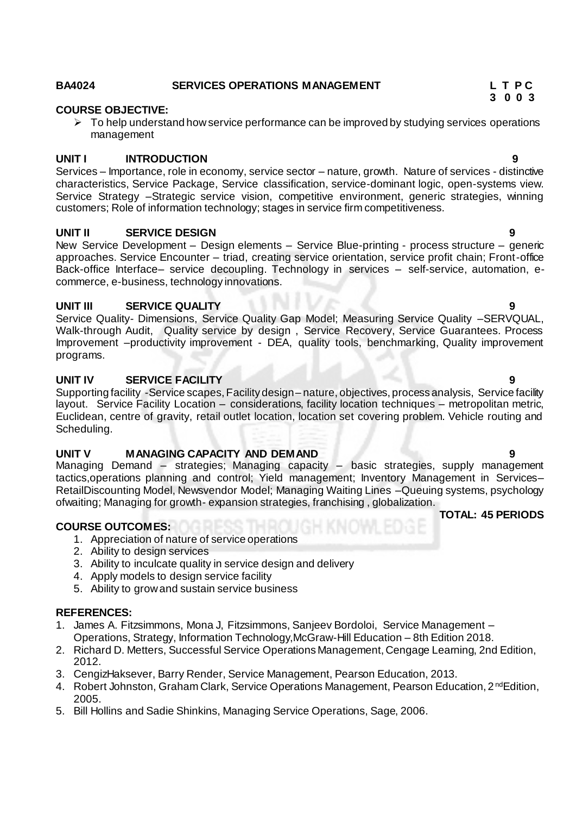# **BA4024 SERVICES OPERATIONS MANAGEMENT L T P C**

# **COURSE OBJECTIVE:**

 $\triangleright$  To help understand how service performance can be improved by studying services operations management

### **UNIT I INTRODUCTION 9**

Services – Importance, role in economy, service sector – nature, growth. Nature of services - distinctive characteristics, Service Package, Service classification, service-dominant logic, open-systems view. Service Strategy –Strategic service vision, competitive environment, generic strategies, winning customers; Role of information technology; stages in service firm competitiveness.

### **UNIT II SERVICE DESIGN 9**

New Service Development – Design elements – Service Blue-printing - process structure – generic approaches. Service Encounter – triad, creating service orientation, service profit chain; Front-office Back-office Interface– service decoupling. Technology in services – self-service, automation, ecommerce, e-business, technology innovations.

### **UNIT III SERVICE QUALITY 9**

Service Quality- Dimensions, Service Quality Gap Model; Measuring Service Quality –SERVQUAL, Walk-through Audit, Quality service by design , Service Recovery, Service Guarantees. Process Improvement –productivity improvement - DEA, quality tools, benchmarking, Quality improvement programs.

### **UNIT IV SERVICE FACILITY 9**

Supporting facility -Service scapes, Facility design – nature, objectives, process analysis, Service facility layout. Service Facility Location – considerations, facility location techniques – metropolitan metric, Euclidean, centre of gravity, retail outlet location, location set covering problem. Vehicle routing and Scheduling.

### **UNIT V MANAGING CAPACITY AND DEMAND 9** 9

Managing Demand – strategies; Managing capacity – basic strategies, supply management tactics,operations planning and control; Yield management; Inventory Management in Services– RetailDiscounting Model, Newsvendor Model; Managing Waiting Lines –Queuing systems, psychology ofwaiting; Managing for growth- expansion strategies, franchising , globalization. **TOTAL: 45 PERIODS**

#### **COURSE OUTCOMES:**

- 1. Appreciation of nature of service operations
- 2. Ability to design services
- 3. Ability to inculcate quality in service design and delivery
- 4. Apply models to design service facility
- 5. Ability to grow and sustain service business

#### **REFERENCES:**

- 1. James A. Fitzsimmons, Mona J, Fitzsimmons, Sanjeev Bordoloi, Service Management Operations, Strategy, Information Technology,McGraw-Hill Education – 8th Edition 2018.
- 2. Richard D. Metters, Successful Service Operations Management, Cengage Learning, 2nd Edition, 2012.
- 3. CengizHaksever, Barry Render, Service Management, Pearson Education, 2013.
- 4. Robert Johnston, Graham Clark, Service Operations Management, Pearson Education, 2<sup>nd</sup>Edition, 2005.
- 5. Bill Hollins and Sadie Shinkins, Managing Service Operations, Sage, 2006.



# **3 0 0 3**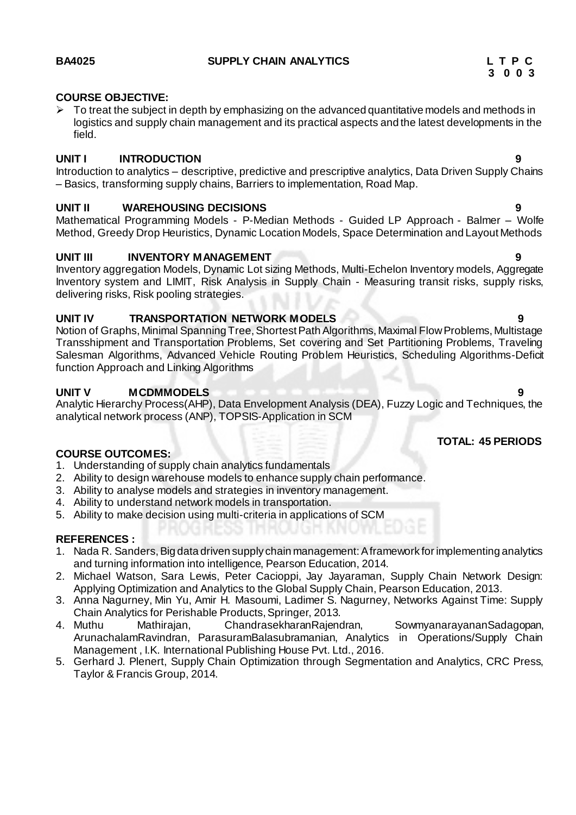# **COURSE OBJECTIVE:**

 To treat the subject in depth by emphasizing on the advanced quantitative models and methods in logistics and supply chain management and its practical aspects and the latest developments in the field.

# **UNIT I INTRODUCTION 9**

Introduction to analytics – descriptive, predictive and prescriptive analytics, Data Driven Supply Chains – Basics, transforming supply chains, Barriers to implementation, Road Map.

# **UNIT II WAREHOUSING DECISIONS 9**

Mathematical Programming Models - P-Median Methods - Guided LP Approach - Balmer – Wolfe Method, Greedy Drop Heuristics, Dynamic Location Models, Space Determination and Layout Methods

# **UNIT III INVENTORY MANAGEMENT**

Inventory aggregation Models, Dynamic Lot sizing Methods, Multi-Echelon Inventory models, Aggregate Inventory system and LIMIT, Risk Analysis in Supply Chain - Measuring transit risks, supply risks, delivering risks, Risk pooling strategies.

# **UNIT IV TRANSPORTATION NETWORK MODELS 9**

Notion of Graphs, Minimal Spanning Tree, Shortest Path Algorithms, Maximal Flow Problems, Multistage Transshipment and Transportation Problems, Set covering and Set Partitioning Problems, Traveling Salesman Algorithms, Advanced Vehicle Routing Problem Heuristics, Scheduling Algorithms-Deficit function Approach and Linking Algorithms

# **UNIT V MCDMMODELS 9**

Analytic Hierarchy Process(AHP), Data Envelopment Analysis (DEA), Fuzzy Logic and Techniques, the analytical network process (ANP), TOPSIS-Application in SCM

## **COURSE OUTCOMES:**

- 1. Understanding of supply chain analytics fundamentals
- 2. Ability to design warehouse models to enhance supply chain performance.
- 3. Ability to analyse models and strategies in inventory management.
- 4. Ability to understand network models in transportation.
- 5. Ability to make decision using multi-criteria in applications of SCM

# **REFERENCES :**

- 1. Nada R. Sanders, Big data driven supply chain management: A framework for implementing analytics and turning information into intelligence, Pearson Education, 2014.
- 2. Michael Watson, Sara Lewis, Peter Cacioppi, Jay Jayaraman, Supply Chain Network Design: Applying Optimization and Analytics to the Global Supply Chain, Pearson Education, 2013.
- 3. Anna Nagurney, Min Yu, Amir H. Masoumi, Ladimer S. Nagurney, Networks Against Time: Supply Chain Analytics for Perishable Products, Springer, 2013.
- 4. Muthu Mathirajan, ChandrasekharanRajendran, SowmyanarayananSadagopan, ArunachalamRavindran, ParasuramBalasubramanian, Analytics in Operations/Supply Chain Management , I.K. International Publishing House Pvt. Ltd., 2016.
- 5. Gerhard J. Plenert, Supply Chain Optimization through Segmentation and Analytics, CRC Press, Taylor & Francis Group, 2014.

# **TOTAL: 45 PERIODS**